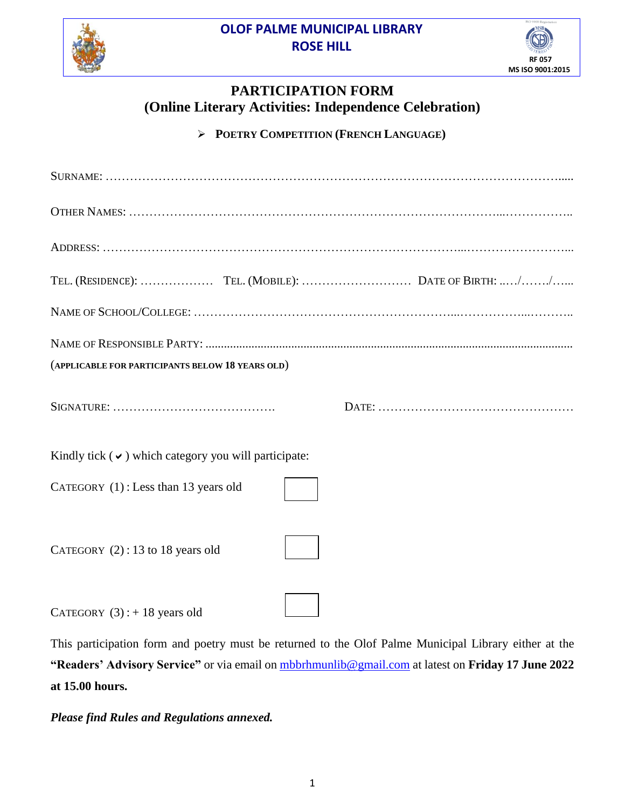**OLOF PALME MUNICIPAL LIBRARY ROSE HILL**





## **PARTICIPATION FORM (Online Literary Activities: Independence Celebration)**

**POETRY COMPETITION (FRENCH LANGUAGE)**

| (APPLICABLE FOR PARTICIPANTS BELOW 18 YEARS OLD)          |  |  |
|-----------------------------------------------------------|--|--|
|                                                           |  |  |
| Kindly tick $(\vee)$ which category you will participate: |  |  |
| CATEGORY (1): Less than 13 years old                      |  |  |
| CATEGORY $(2)$ : 13 to 18 years old                       |  |  |
| CATEGORY $(3)$ : + 18 years old                           |  |  |

This participation form and poetry must be returned to the Olof Palme Municipal Library either at the **"Readers' Advisory Service"** or via email on [mbbrhmunlib@gmail.com](mailto:mbbrhmunlib@gmail.com) at latest on **Friday 17 June 2022 at 15.00 hours.**

*Please find Rules and Regulations annexed.*